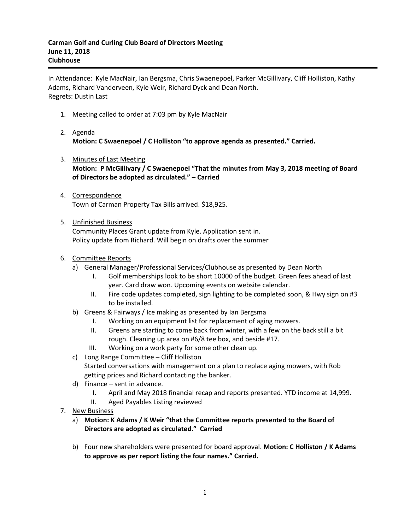In Attendance: Kyle MacNair, Ian Bergsma, Chris Swaenepoel, Parker McGillivary, Cliff Holliston, Kathy Adams, Richard Vanderveen, Kyle Weir, Richard Dyck and Dean North. Regrets: Dustin Last

- 1. Meeting called to order at 7:03 pm by Kyle MacNair
- 2. Agenda **Motion: C Swaenepoel / C Holliston "to approve agenda as presented." Carried.**
- 3. Minutes of Last Meeting **Motion: P McGillivary / C Swaenepoel "That the minutes from May 3, 2018 meeting of Board of Directors be adopted as circulated." – Carried**
- 4. Correspondence Town of Carman Property Tax Bills arrived. \$18,925.
- 5. Unfinished Business

Community Places Grant update from Kyle. Application sent in. Policy update from Richard. Will begin on drafts over the summer

## 6. Committee Reports

- a) General Manager/Professional Services/Clubhouse as presented by Dean North
	- I. Golf memberships look to be short 10000 of the budget. Green fees ahead of last year. Card draw won. Upcoming events on website calendar.
	- II. Fire code updates completed, sign lighting to be completed soon, & Hwy sign on #3 to be installed.
- b) Greens & Fairways / Ice making as presented by Ian Bergsma
	- I. Working on an equipment list for replacement of aging mowers.
	- II. Greens are starting to come back from winter, with a few on the back still a bit rough. Cleaning up area on #6/8 tee box, and beside #17.
	- III. Working on a work party for some other clean up.
- c) Long Range Committee Cliff Holliston Started conversations with management on a plan to replace aging mowers, with Rob
	- getting prices and Richard contacting the banker.
- d) Finance sent in advance.
	- I. April and May 2018 financial recap and reports presented. YTD income at 14,999.
	- II. Aged Payables Listing reviewed
- 7. New Business
	- a) **Motion: K Adams / K Weir "that the Committee reports presented to the Board of Directors are adopted as circulated." Carried**
	- b) Four new shareholders were presented for board approval. **Motion: C Holliston / K Adams to approve as per report listing the four names." Carried.**